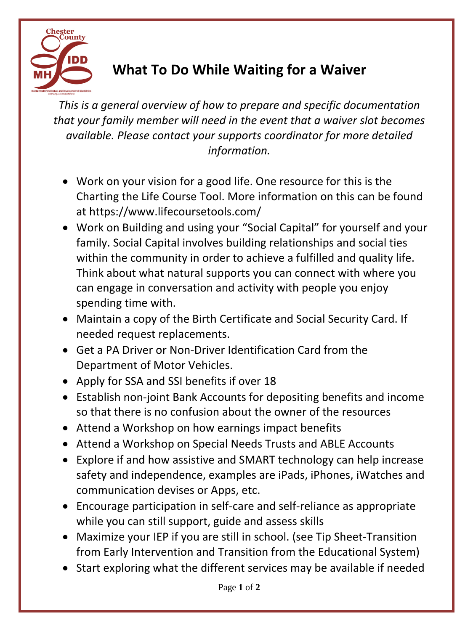

## **What To Do While Waiting for a Waiver**

*This is a general overview of how to prepare and specific documentation that your family member will need in the event that a waiver slot becomes available. Please contact your supports coordinator for more detailed information.*

- Work on your vision for a good life. One resource for this is the Charting the Life Course Tool. More information on this can be found at https://www.lifecoursetools.com/
- Work on Building and using your "Social Capital" for yourself and your family. Social Capital involves building relationships and social ties within the community in order to achieve a fulfilled and quality life. Think about what natural supports you can connect with where you can engage in conversation and activity with people you enjoy spending time with.
- Maintain a copy of the Birth Certificate and Social Security Card. If needed request replacements.
- Get a PA Driver or Non-Driver Identification Card from the Department of Motor Vehicles.
- Apply for SSA and SSI benefits if over 18
- Establish non-joint Bank Accounts for depositing benefits and income so that there is no confusion about the owner of the resources
- Attend a Workshop on how earnings impact benefits
- Attend a Workshop on Special Needs Trusts and ABLE Accounts
- Explore if and how assistive and SMART technology can help increase safety and independence, examples are iPads, iPhones, iWatches and communication devises or Apps, etc.
- Encourage participation in self-care and self-reliance as appropriate while you can still support, guide and assess skills
- Maximize your IEP if you are still in school. (see Tip Sheet-Transition from Early Intervention and Transition from the Educational System)
- Start exploring what the different services may be available if needed